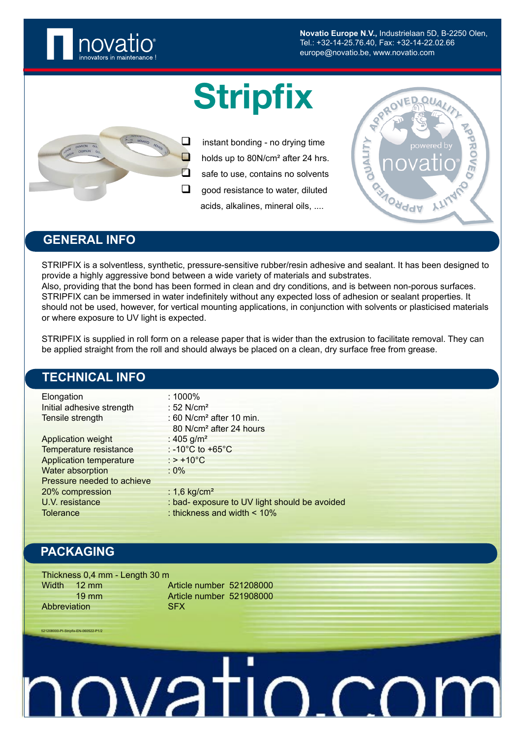

**Novatio Europe N.V.,** Industrielaan 5D, B-2250 Olen, Tel.: +32-14-25.76.40, Fax: +32-14-22.02.66 europe@novatio.be, www.novatio.com

# **Stripfix**



 $\Box$  instant bonding - no drving time  $\Box$  holds up to 80N/cm<sup>2</sup> after 24 hrs.  $\Box$  safe to use, contains no solvents  $\Box$  good resistance to water, diluted acids, alkalines, mineral oils, ....



### **GENERAL INFO**

STRIPFIX is a solventless, synthetic, pressure-sensitive rubber/resin adhesive and sealant. It has been designed to provide a highly aggressive bond between a wide variety of materials and substrates. Also, providing that the bond has been formed in clean and dry conditions, and is between non-porous surfaces. STRIPFIX can be immersed in water indefinitely without any expected loss of adhesion or sealant properties. It should not be used, however, for vertical mounting applications, in conjunction with solvents or plasticised materials or where exposure to UV light is expected.

STRIPFIX is supplied in roll form on a release paper that is wider than the extrusion to facilitate removal. They can be applied straight from the roll and should always be placed on a clean, dry surface free from grease.

### **TECHNICAL INFO**

| Elongation                     | : $1000\%$                                    |
|--------------------------------|-----------------------------------------------|
| Initial adhesive strength      | : $52$ N/cm <sup>2</sup>                      |
| Tensile strength               | : 60 N/cm <sup>2</sup> after 10 min.          |
|                                | 80 N/cm <sup>2</sup> after 24 hours           |
| <b>Application weight</b>      | : 405 $g/m^2$                                 |
| Temperature resistance         | $: -10^{\circ}$ C to $+65^{\circ}$ C          |
| <b>Application temperature</b> | $:$ > +10 $^{\circ}$ C                        |
| Water absorption               | $:0\%$                                        |
| Pressure needed to achieve     |                                               |
| 20% compression                | : 1,6 kg/cm <sup>2</sup>                      |
| U.V. resistance                | : bad- exposure to UV light should be avoided |
| <b>Tolerance</b>               | : thickness and width < 10%                   |

## **PACKAGING**

2000-PI-Stripfix-EN-060522

Thickness 0,4 mm - Length 30 m Width 12 mm Article number 521208000 19 mm Article number 521908000 Abbreviation SFX

IOVATIO<sub>-</sub>CO